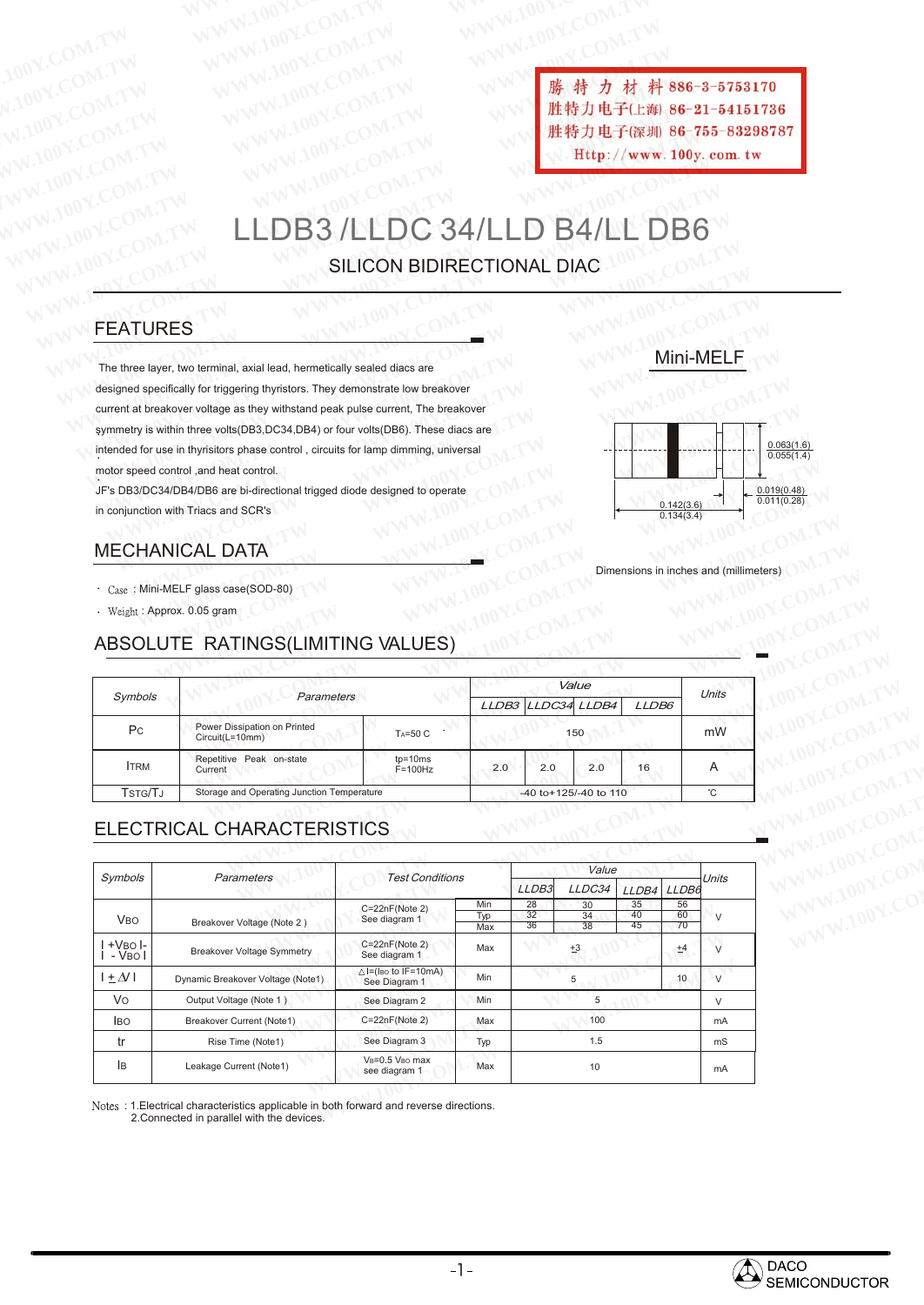**WWW.100Y.COM.TW WWW.100Y.COM.TW WWW.100Y.COM.TW WWW.100Y.COM.TW WWW.100Y.COM.TW WWW.100Y.COM.TW WWW.100Y.COM.TW WWW.100Y.COM.TW WWW.100Y.COM.TW WWW.100Y.COM.TW WWW.100Y.COM**<br>100Y.COM.TW WWW.100Y.COM.TW WWW.100Y.COM **WWW.100Y.COM.TW WWW.100Y.COM.TW WWW.100Y.COM.TW WWW.100Y.COM.TW WWW.100Y.COM.TW WWW.100Y.COM.TW WWW.100Y.COM.TW WWW.100Y.COM.TW ANNA 100Y.COM.TW AWW.100Y.COM.TW AWW.100Y.COM.TW AWW.100Y.COM.TW AWW.100Y.COM.TW AWW.100Y.COM.TW AWW.100Y.COM.TW AWW.100Y.COM.TW AWW.100Y.COM.TW** WW.100Y.COM.TW WWW.100Y.COM.TW WW.100Y.COM.TW WWW.100Y.COM.TW WWW.100Y.COM.TW WWW.100Y.COM.TW WWW.100Y.COM.TW WWW.100Y.COM.TW WWW.100Y.COM.TW WWW.100Y.COM.TW WWW.100Y.COM.TW WWW.100Y.COM.TW WWW.100Y.COM.TW WWW.100Y.COM.TW

# B3 /LLDC 34/LLD B4/LL DB6 SILICON BIDIRECTIONAL DIAC **WWW.100Y.COM.TW WWW.100Y.COM.TW ANTENTONY.COM.TW WWW.100Y.COM.TW ANTENTONY.COM.TW WWW.100Y.COM.TW ANTENTONY.COM.TW WWW.100Y.COM.TW ANTENTONY.COM.TW ANTENTONY.COM.TW ANTENTONY.COM.TW ANTENTONY.COM.TW ANTENTONY.COM.TW ANTEN** WWW.100Y.COM.TW WWW.100Y.COM.TW WWW.100Y.COM.TW WWW.100Y.COM.TW WWW.100Y.COM.TW WWW.100Y.COM.TW WWW.100Y.COM.TW WWW.100Y.COM.TW WWW.100Y.COM.TW WWW.100Y.COM.TW WWW.100Y.COM.TW WWW.100Y.COM.TW WWW.100Y.COM.TW WWW.100Y.COM. [WW](Http://www.100y.com.tw)W.[100Y.COM.TW](Http://www.100y.com.tw) WWW.100Y.COM.TW WWW.100Y.COM.TW WWW.100Y.COM.TW WWW.100Y.COM.TW WWW.100Y.COM.TW WWW.100Y.COM.TW WWW.100Y.COM.TW WWW.100Y.COM.TW WWW.100Y.COM.TW WWW.100Y.COM.TW WWW.100Y.COM.TW WWW.100Y.COM.TW WWW.100Y.COM. **WWW.100Y.COM.TW WWW.100Y.COM.TW WWW.100Y.COM.TW WWW.100Y.COM.TW WWW.100Y.COM.TW WWW.100Y.COM.TW WWW.100Y.COM.TW WWW.100Y.COM.TW WWW.100Y.COM.TW WWW.100Y.COM.TW WWW.100Y.COM.TW WWW.100Y.COM.TW WWW.100Y.COM.TW WWW.100Y.COM WWW.100Y.COM.TW WWW.100Y.COM.TW WWW.100Y.COM.TW** WWW.100Y.COM.TW **WWW.100Y.COM.TW <b>EFOLUT B4/LL DB6**<br>
WWW.100Y.COM.TW **LLDB3/LLDC 34/LLD B4/LL DB6**<br>
W.100Y.COM.TW **LLDB3/LLDC 34/LLD B4/LL DB6**<br>
W.100Y.COM.TW **LLDB3/LLDC 34/LLD B4/LL DB6**<br>
FEATURES **FEATURES** MOY.COM.TW **LLDB3/LLDC 34/LLD B4/LL DB6**<br>
SILICON BIDIRECTIONAL DIAC<br>
FEATURES<br>
The three layer, two terminal, axial lead, hermetically sealed diacs are<br>
designed specifically for triggering thyristors. They demonstrate lo

## FEATURES

The three layer, two terminal, axial lead, hermetically sealed diacs are designed specifically for triggering thyristors. They demonstrate low breakover current at breakover voltage as they withstand peak pulse current, The breakover symmetry is within three volts(DB3,DC34,DB4) or four volts(DB6). These diacs are intended for use in thyrisitors phase control , circuits for lamp dimming, universal motor speed control ,and heat control. **WWW.NORT WITH INCORPORATIONS COM.**<br> **WWW.NORT WITH INCORPORATION BIDIRECTIONAL DIAC**<br> **WE CATURES**<br>
The three layer, two terminal, axial lead, hermetically sealed diacs are<br>
designed specifically for triggering thyristors **WWW.NN LLDB3/LLDC 34/LLD B4/LL DB6**<br> **WWW.NN SILICON BIDIRECTIONAL DIAC**<br> **FEATURES**<br>
The three layer, two terminal, axial lead, hermetically sealed diacs are<br>
designed specifically for triggering thyristors. They demonst **WWW.NOW SILICON BIDIRECTIONAL DIAC**<br>
The three layer, two terminal, axial lead, hermetically sealed diacs are<br>
designed specifically for triggering thyristors. They demonstrate low breakover<br>
symmetry is within three volt **EXAITURES**<br>
The three layer, two terminal, axial lead, hermetically sealed diacs are<br>
designed specifically for triggering thyristors. They demonstrate low breakover<br>
symmetry is within three volts(DB3,DC34,DB4) or four v EATURES<br>
he three layer, two terminal, axial lead, hermetically sealed diacs are<br>
signed specifically for triggering thyristors. They demonstrate low breakover<br>
urrent at breakover voltage as they withstand peak pulse curr EXATURES<br>
EXATURES<br>
There layer, two terminal, axial lead, hermetically sealed diacs are<br>
Figure a specifically for triggering thyristors. They demonstrate low breakover<br>
ent at breakover voltage as they withstand peak pul The layer, two terminal, axial lead, hermetically sealed diacs are<br>
the specifically for triggering thyristors. They demonstrate low breakover<br>
tat breakover voltage as they withstand peak pulse current, The breakover<br>
ed **EXERCT SERCT WARREND SERCT WARREND SERCT WAS DESCRIPTED MANUFAL DATA**<br>
We within three volts(DB3,DC34,DB4) or four volts(DB6). These diacs are<br> **WANNICAL DATA**<br>
MINI-MELF glass case(SOD-80)<br>
WANNICAL DATA<br>
WHI-MELF glass breakover voltage as they withstand peak pulse current, The breakover<br>
is within three volts(DB3,DC34,DB4) or four volts(DB6). These diacs are<br>
ed control, and heat control.<br>
ed control, and heat control.<br> **WANICAL DATA**<br>

# MECHANICAL DATA

- : Mini-MELF glass case(SOD-80)
- : Approx. 0.05 gram

#### ABSOLUTE RATINGS(LIMITING VALUES)

|                       | motor speed control, and heat control.                                     |                             |            |                   |                       |                                        |                          |        |             |
|-----------------------|----------------------------------------------------------------------------|-----------------------------|------------|-------------------|-----------------------|----------------------------------------|--------------------------|--------|-------------|
|                       | JF's DB3/DC34/DB4/DB6 are bi-directional trigged diode designed to operate |                             |            |                   |                       |                                        |                          |        | 0.019(0.48) |
|                       | in conjunction with Triacs and SCR's                                       |                             |            |                   |                       |                                        | 0.142(3.6)<br>0.134(3.4) |        | 0.011(0.28) |
|                       |                                                                            |                             |            |                   |                       |                                        |                          |        |             |
|                       | <b>MECHANICAL DATA</b>                                                     |                             |            |                   |                       |                                        |                          |        |             |
|                       |                                                                            |                             |            |                   |                       | Dimensions in inches and (millimeters) |                          |        |             |
|                       | Case: Mini-MELF glass case(SOD-80)                                         |                             |            |                   |                       |                                        |                          |        |             |
|                       | · Weight: Approx. 0.05 gram                                                |                             |            |                   |                       |                                        |                          |        |             |
|                       |                                                                            |                             |            |                   |                       |                                        |                          |        |             |
|                       | ABSOLUTE RATINGS(LIMITING VALUES)                                          |                             |            |                   |                       |                                        |                          |        |             |
|                       |                                                                            |                             |            |                   |                       |                                        |                          |        |             |
| Symbols               | Parameters                                                                 |                             |            | Value             |                       |                                        |                          | Units  |             |
|                       |                                                                            |                             |            |                   | LLDB3 LLDC34 LLDB4    | LLDB6                                  |                          |        |             |
| P <sub>C</sub>        | Power Dissipation on Printed<br>Circuit(L=10mm)                            | TA=50 C                     |            |                   | 150                   |                                        |                          | mW     |             |
| <b>ITRM</b>           | Repetitive Peak on-state<br>Current                                        | $tp = 10ms$<br>$F = 100 Hz$ | 2.0        | 2.0               | 2.0                   | 16                                     |                          | A      |             |
| TSTG/TJ               | Storage and Operating Junction Temperature                                 |                             |            |                   | -40 to+125/-40 to 110 |                                        |                          | °C     |             |
|                       |                                                                            |                             |            |                   |                       |                                        |                          |        |             |
|                       | ELECTRICAL CHARACTERISTICS                                                 |                             |            |                   |                       |                                        |                          |        |             |
|                       |                                                                            |                             |            |                   |                       |                                        |                          |        |             |
| Symbols               | Parameters                                                                 | <b>Test Conditions</b>      |            |                   | Value                 |                                        |                          | Units  |             |
|                       |                                                                            |                             |            | LLDB <sub>3</sub> | LLDC34                | LLDB4                                  | LLDB6                    |        |             |
|                       |                                                                            | C=22nF(Note 2)              | Min<br>Typ | 28<br>32          | 30<br>34              | 35<br>40                               | 56<br>60                 |        |             |
| <b>V<sub>BO</sub></b> | Breakover Voltage (Note 2)                                                 | See diagram 1               | Max        | 36                | 38                    | 45                                     | 70                       | $\vee$ |             |

# ELECTRICAL CHARACTERISTICS

|                                                       | Power Dissipation on Printed<br>TA=50 C<br>Circuit(L=10mm) |                                                 |            | ᆫᆫᇰᇰ<br><u>LLD UU T</u><br>150 |          |          |          |              |  |
|-------------------------------------------------------|------------------------------------------------------------|-------------------------------------------------|------------|--------------------------------|----------|----------|----------|--------------|--|
| P <sub>C</sub>                                        |                                                            |                                                 |            |                                |          |          |          | mW           |  |
| <b>ITRM</b>                                           | Repetitive Peak on-state<br>Current                        | $tp=10ms$<br>$F = 100 Hz$                       | 2.0        | 2.0                            | 2.0      | 16       |          | A            |  |
| TSTG/TJ<br>Storage and Operating Junction Temperature |                                                            |                                                 |            | -40 to+125/-40 to 110          |          |          |          |              |  |
|                                                       | ELECTRICAL CHARACTERISTICS                                 |                                                 |            |                                |          |          |          |              |  |
| Symbols                                               | Parameters                                                 | <b>Test Conditions</b>                          |            | Value                          |          |          |          | <b>Units</b> |  |
|                                                       |                                                            |                                                 |            | LLDB3                          | LLDC34   | LLDB4    | LLDB6    |              |  |
| <b>V<sub>BO</sub></b>                                 | Breakover Voltage (Note 2)                                 | $C=22nF(Note 2)$<br>See diagram 1               | Min<br>Typ | 28<br>32                       | 30<br>34 | 35<br>40 | 56<br>60 | $\vee$       |  |
|                                                       |                                                            |                                                 | Max        | 36                             | 38       | 45       | 70       |              |  |
| $+V$ BO $\mathsf{I}$ -<br>- VBO I                     | <b>Breakover Voltage Symmetry</b>                          | C=22nF(Note 2)<br>See diagram 1                 | Max        |                                | ±3       |          | ±4       | $\sqrt{ }$   |  |
| $+ \Delta$                                            | Dynamic Breakover Voltage (Note1)                          | $\triangle$ I=(Iso to IF=10mA)<br>See Diagram 1 | Min        |                                | 5        |          | 10       | $\vee$       |  |
| Vo                                                    | Output Voltage (Note 1)                                    | See Diagram 2                                   | Min        | 5                              |          | $\vee$   |          |              |  |
| <b>IBO</b>                                            | Breakover Current (Note1)                                  | $C = 22nF(Note 2)$                              | Max        | 100                            |          |          |          | mA           |  |
| tr                                                    | Rise Time (Note1)                                          | See Diagram 3                                   | Typ        | 1.5                            |          |          |          | mS           |  |
| lв                                                    | Leakage Current (Note1)                                    | VB=0.5 VBo max<br>see diagram 1                 | Max        | 10                             |          |          | mA       |              |  |

2.Connected in parallel with the devices.

## Mini-MELF